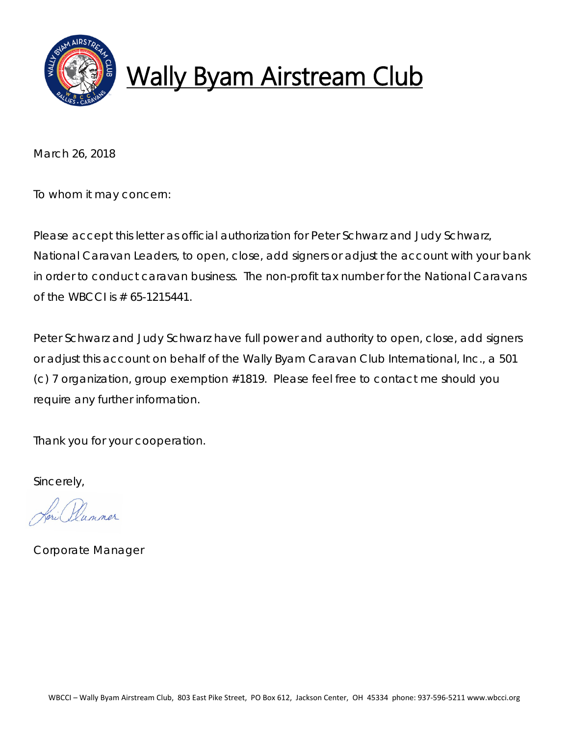

# Wally Byam Airstream Club

March 26, 2018

To whom it may concern:

Please accept this letter as official authorization for Peter Schwarz and Judy Schwarz, National Caravan Leaders, to open, close, add signers or adjust the account with your bank in order to conduct caravan business. The non-profit tax number for the National Caravans of the WBCCI is  $# 65-1215441.$ 

Peter Schwarz and Judy Schwarz have full power and authority to open, close, add signers or adjust this account on behalf of the Wally Byam Caravan Club International, Inc., a 501 (c) 7 organization, group exemption #1819. Please feel free to contact me should you require any further information.

Thank you for your cooperation.

Sincerely,

Corporate Manager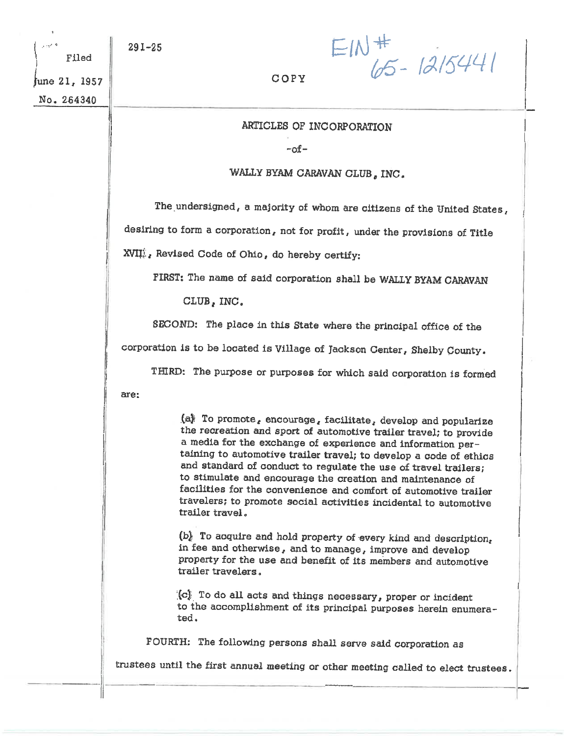june 21, 1957

Filed

No. 264340

 $EM_{65-1215441}^{+}$ 

#### COPY

### ARTICLES OF INCORPORATION

-of-

#### WALLY BYAM CARAVAN CLUB, INC.

The undersigned, a majority of whom are citizens of the United States,

desiring to form a corporation, not for profit, under the provisions of Title

XVII<sup>i</sup>, Revised Code of Ohio, do hereby certify:

FIRST: The name of said corporation shall be WALLY BYAM CARAVAN

CLUB, INC.

SECOND: The place in this State where the principal office of the

corporation is to be located is Village of Jackson Center, Shelby County.

THIRD: The purpose or purposes for which said corporation is formed

are:

(a) To promote, encourage, facilitate, develop and popularize the recreation and sport of automotive trailer travel; to provide a media for the exchange of experience and information pertaining to automotive trailer travel; to develop a code of ethics and standard of conduct to regulate the use of travel trailers; to stimulate and encourage the creation and maintenance of facilities for the convenience and comfort of automotive trailer travelers; to promote social activities incidental to automotive trailer travel.

(b) To acquire and hold property of every kind and description, in fee and otherwise, and to manage, improve and develop property for the use and benefit of its members and automotive trailer travelers.

(c) To do all acts and things necessary, proper or incident to the accomplishment of its principal purposes herein enumerated.

FOURTH: The following persons shall serve said corporation as

trustees until the first annual meeting or other meeting called to elect trustees.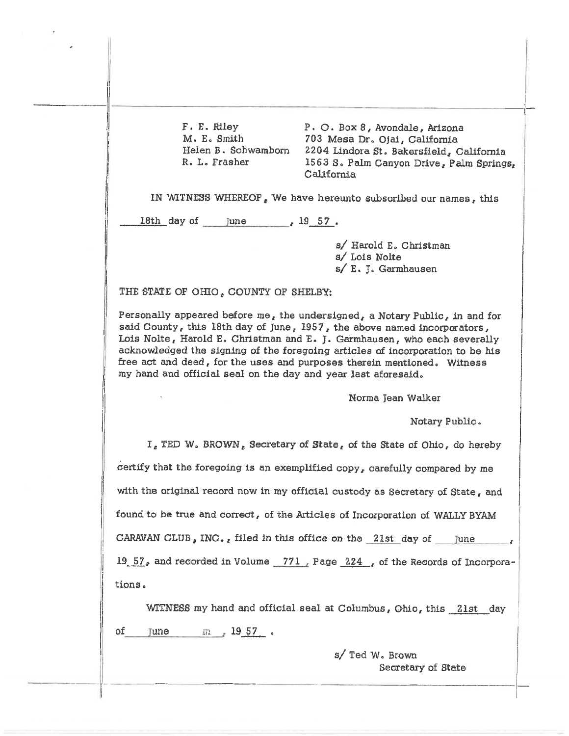F. E. Riley M. E. Smith Helen B. Schwamborn R. L. Frasher

P. O. Box 8, Avondale, Arizona 703 Mesa Dr. Ojai, California 2204 Lindora St. Bakersfield, California 1563 S. Palm Canyon Drive, Palm Springs, California

IN WITNESS WHEREOF, We have hereunto subscribed our names, this

18th day of June 19 57.

s/ Harold E. Christman s/ Lois Nolte s/ E. J. Garmhausen

THE STATE OF OHIO, COUNTY OF SHELBY:

Personally appeared before me, the undersigned, a Notary Public, in and for said County, this 18th day of June,  $1957$ , the above named incorporators, Lois Nolte, Harold E. Christman and E. J. Garmhausen, who each severally acknowledged the signing of the foregoing articles of incorporation to be his free act and deed, for the uses and purposes therein mentioned. Witness my hand and official seal on the day and year last aforesaid.

Norma Jean Walker

Notary Public.

I, TED W. BROWN, Secretary of State, of the State of Ohio, do hereby certify that the foregoing is an exemplified copy, carefully compared by me with the original record now in my official custody as Secretary of State, and found to be true and correct, of the Articles of Incorporation of WALLY BYAM CARAVAN CLUB, INC., filed in this office on the 21st day of June 19  $57<sub>e</sub>$  and recorded in Volume 771, Page 224 for the Records of Incorporations.

WITNESS my hand and official seal at Columbus, Ohio, this 2lst day June  $m = 1957$ . of

> s/ Ted W. Brown Secretary of State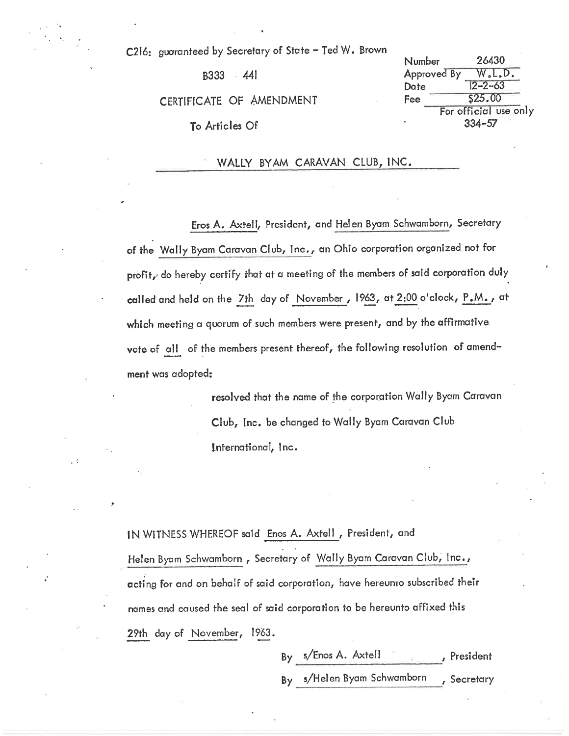C216: guaranteed by Secretary of State - Ted W. Brown

B333 441

CERTIFICATE OF AMENDMENT

To Articles Of

26430 Number Approved By W.L.D.  $2 - 2 - 63$ Date \$25.00 Fee For official use only  $334 - 57$ 

WALLY BYAM CARAVAN CLUB, INC.

Eros A. Axtell, President, and Helen Byam Schwamborn, Secretary of the Wally Byam Caravan Club, Inc., an Ohio corporation organized not for profit, do hereby certify that at a meeting of the members of said corporation duly called and held on the 7th day of November, 1963, at 2:00 o'clock, P.M., at which meeting a quorum of such members were present, and by the affirmative vote of all of the members present thereof, the following resolution of amendment was adopted:

> resolved that the name of the corporation Wally Byam Caravan Club, Inc. be changed to Wally Byam Caravan Club International, Inc.

IN WITNESS WHEREOF said Enos A. Axtell, President, and Helen Byam Schwamborn, Secretary of Wally Byam Caravan Club, Inc., acting for and on behalf of said corporation, have hereunro subscribed their names and caused the seal of said corporation to be hereunto affixed this 29th day of November, 1963.

> By s/Enos A. Axtell , President By s/Helen Byam Schwamborn , Secretary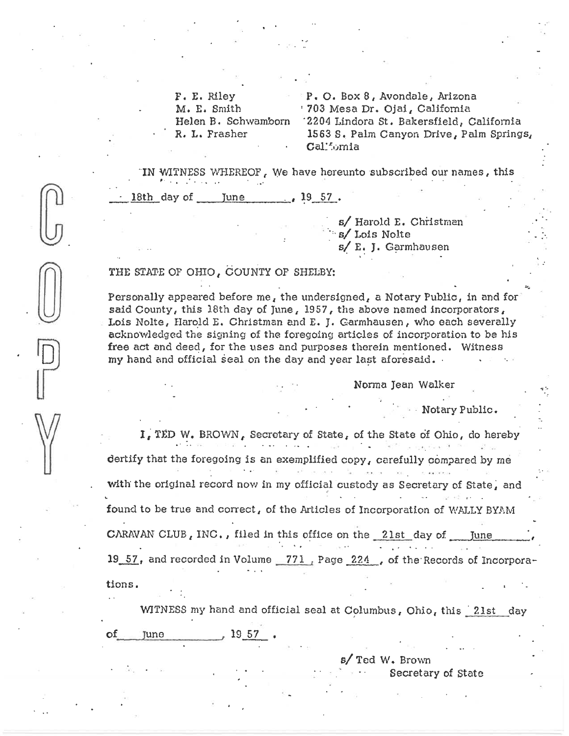F. E. Riley M. E. Smith Helen B. Schwamborn R. L. Frasher

P. O. Box 8, Avondale, Arizona '703 Mesa Dr. Ojai, California '2204 Lindora St. Bakersfield, California 1563 S. Palm Canyon Drive, Palm Springs, Callfomia

IN WITNESS WHEREOF, We have hereunto subscribed our names, this <u>18th day of June 19 57.</u>

> s/ Harold E. Christman s/Lois Nolte s/ E. J. Garmhausen

## THE STATE OF OHIO, COUNTY OF SHELBY:

Personally appeared before me, the undersigned, a Notary Public, in and for said County, this 18th day of June, 1957, the above named incorporators, Lois Nolte, Harold E. Christman and E. J. Garmhausen, who each severally acknowledged the signing of the foregoing articles of incorporation to be his free act and deed, for the uses and purposes therein mentioned. Witness my hand and official seal on the day and year last aforesaid.

Norma Jean Walker

**Wotary Public.** 

I. TED W. BROWN, Secretary of State, of the State of Ohio, do hereby the second control of the second dertify that the foregoing is an exemplified copy, carefully compared by me with the original record now in my official custody as Secretary of State, and found to be true and correct, of the Articles of Incorporation of WALLY BYAM CARAVAN CLUB, INC., filed in this office on the 21st day of June  $19$  57, and recorded in Volume  $771$ , Page  $224$ , of the Records of Incorporations.

WITNESS my hand and official seal at Columbus, Ohio, this 21st day

**June**  $1957$ 

s/ Ted W. Brown

Secretary of State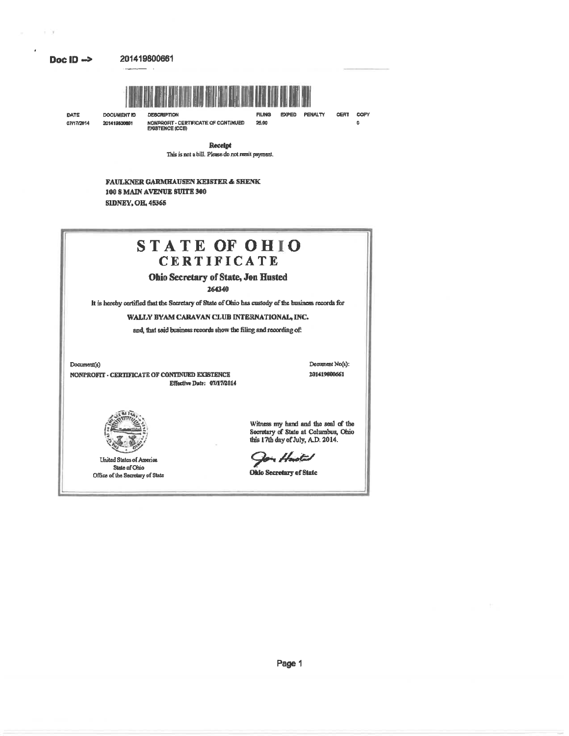#### Doc ID  $\rightarrow$

 $\rightarrow$   $\rightarrow$ 

DOCUMENT ID

201419500661



**FILING** 

25.00

EXPED PENALTY

DATE 07/17/2014

**DERCRIPTION** NONPROFIT - CERTIFICATE OF CONTINUED<br>EXISTENCE (CCE) **CERT** COPY o

Receipt This is not a bill. Please do not remit payment.

**FAULKNER GARMHAUSEN KEISTER & SHENK** 100 S MAIN AVENUE SUITE 300 **SIDNEY, OH, 45365** 



**United States of America** State of Ohio Office of the Secretary of State Secretary of State at Columbus, Ohio this 17th day of July, A.D. 2014.

r Hoistal

Ohio Secretary of State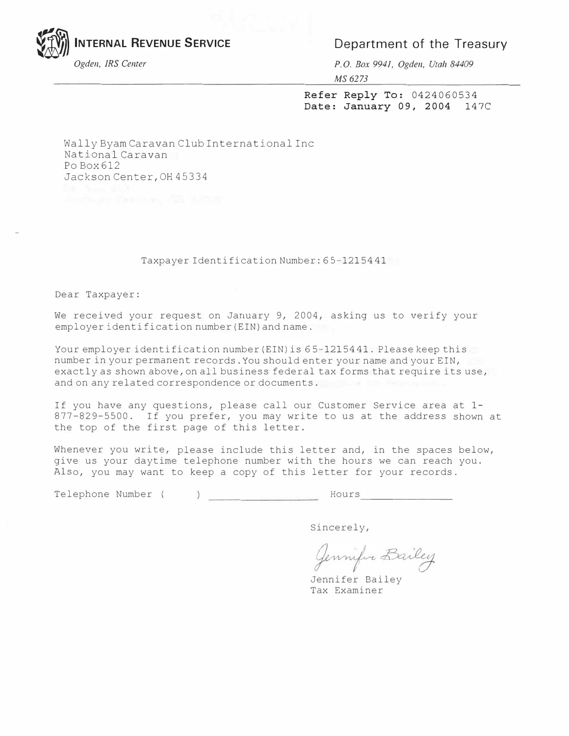**INTERNAL REVENUE SERVICE** *Department of the Treasury* 

 $\mathbb{Z}$ 

*Ogden, IRS Center P.O. Box 9941, Ogden, Utah 84409 MS 6273* 

> **Refer Reply To:** 0424060534 **Date: January 09, 2004** 147C

Wally Byam Caravan Club International Inc National Caravan Po Box 612 Jackson Center, OH 45334

#### Taxpayer Identification Number: 65-1215441

Dear Taxpayer:

We received your request on January 9, 2004, asking us to verify your employer identification number (EIN) and name.

Your employer identification number (EIN) is 65-1215441. Please keep this number in your permanent records. You should enter your name and your EIN, exactly as shown above, on all business federal tax forms that require its use, and on any related correspondence or documents.

If you have any questions, please call our Customer Service area at 1- 877-829-5500. If you prefer, you may write to us at the address shown at the top of the first page of this letter.

Whenever you write, please include this letter and, in the spaces below, give us your daytime telephone number with the hours we can reach you. Also, you may want to keep a copy of this letter for your records.

Telephone Number ( ) Hours

Sincerely,

Jennifer Bailey

Jennifer Bailey Tax Examiner